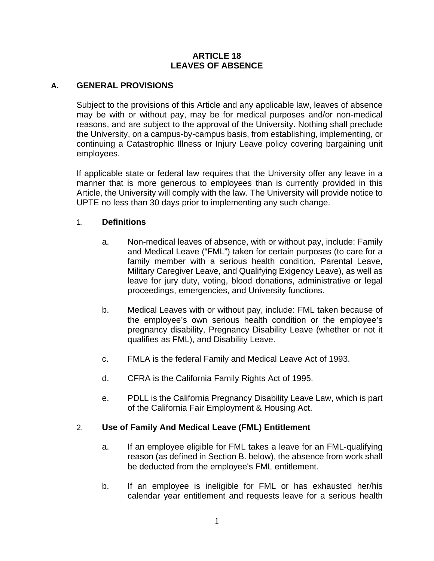### **ARTICLE 18 LEAVES OF ABSENCE**

# **A. GENERAL PROVISIONS**

Subject to the provisions of this Article and any applicable law, leaves of absence may be with or without pay, may be for medical purposes and/or non-medical reasons, and are subject to the approval of the University. Nothing shall preclude the University, on a campus-by-campus basis, from establishing, implementing, or continuing a Catastrophic Illness or Injury Leave policy covering bargaining unit employees.

If applicable state or federal law requires that the University offer any leave in a manner that is more generous to employees than is currently provided in this Article, the University will comply with the law. The University will provide notice to UPTE no less than 30 days prior to implementing any such change.

### 1. **Definitions**

- a. Non-medical leaves of absence, with or without pay, include: Family and Medical Leave ("FML") taken for certain purposes (to care for a family member with a serious health condition, Parental Leave, Military Caregiver Leave, and Qualifying Exigency Leave), as well as leave for jury duty, voting, blood donations, administrative or legal proceedings, emergencies, and University functions.
- b. Medical Leaves with or without pay, include: FML taken because of the employee's own serious health condition or the employee's pregnancy disability, Pregnancy Disability Leave (whether or not it qualifies as FML), and Disability Leave.
- c. FMLA is the federal Family and Medical Leave Act of 1993.
- d. CFRA is the California Family Rights Act of 1995.
- e. PDLL is the California Pregnancy Disability Leave Law, which is part of the California Fair Employment & Housing Act.

### 2. **Use of Family And Medical Leave (FML) Entitlement**

- a. If an employee eligible for FML takes a leave for an FML-qualifying reason (as defined in Section B. below), the absence from work shall be deducted from the employee's FML entitlement.
- b. If an employee is ineligible for FML or has exhausted her/his calendar year entitlement and requests leave for a serious health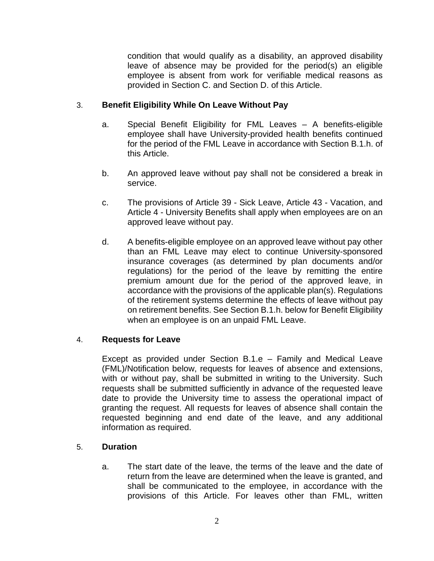condition that would qualify as a disability, an approved disability leave of absence may be provided for the period(s) an eligible employee is absent from work for verifiable medical reasons as provided in Section C. and Section D. of this Article.

# 3. **Benefit Eligibility While On Leave Without Pay**

- a. Special Benefit Eligibility for FML Leaves A benefits-eligible employee shall have University-provided health benefits continued for the period of the FML Leave in accordance with Section B.1.h. of this Article.
- b. An approved leave without pay shall not be considered a break in service.
- c. The provisions of Article 39 Sick Leave, Article 43 Vacation, and Article 4 - University Benefits shall apply when employees are on an approved leave without pay.
- d. A benefits-eligible employee on an approved leave without pay other than an FML Leave may elect to continue University-sponsored insurance coverages (as determined by plan documents and/or regulations) for the period of the leave by remitting the entire premium amount due for the period of the approved leave, in accordance with the provisions of the applicable plan(s). Regulations of the retirement systems determine the effects of leave without pay on retirement benefits. See Section B.1.h. below for Benefit Eligibility when an employee is on an unpaid FML Leave.

### 4. **Requests for Leave**

Except as provided under Section B.1.e – Family and Medical Leave (FML)/Notification below, requests for leaves of absence and extensions, with or without pay, shall be submitted in writing to the University. Such requests shall be submitted sufficiently in advance of the requested leave date to provide the University time to assess the operational impact of granting the request. All requests for leaves of absence shall contain the requested beginning and end date of the leave, and any additional information as required.

### 5. **Duration**

a. The start date of the leave, the terms of the leave and the date of return from the leave are determined when the leave is granted, and shall be communicated to the employee, in accordance with the provisions of this Article. For leaves other than FML, written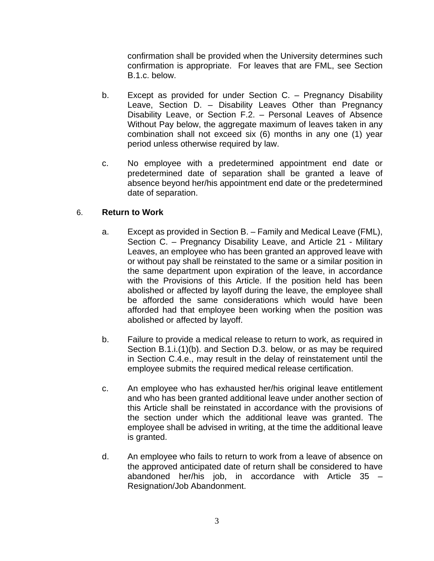confirmation shall be provided when the University determines such confirmation is appropriate. For leaves that are FML, see Section B.1.c. below.

- b. Except as provided for under Section C. Pregnancy Disability Leave, Section D. – Disability Leaves Other than Pregnancy Disability Leave, or Section F.2. – Personal Leaves of Absence Without Pay below, the aggregate maximum of leaves taken in any combination shall not exceed six (6) months in any one (1) year period unless otherwise required by law.
- c. No employee with a predetermined appointment end date or predetermined date of separation shall be granted a leave of absence beyond her/his appointment end date or the predetermined date of separation.

# 6. **Return to Work**

- a. Except as provided in Section B. Family and Medical Leave (FML), Section C. – Pregnancy Disability Leave, and Article 21 - Military Leaves, an employee who has been granted an approved leave with or without pay shall be reinstated to the same or a similar position in the same department upon expiration of the leave, in accordance with the Provisions of this Article. If the position held has been abolished or affected by layoff during the leave, the employee shall be afforded the same considerations which would have been afforded had that employee been working when the position was abolished or affected by layoff.
- b. Failure to provide a medical release to return to work, as required in Section B.1.i.(1)(b). and Section D.3. below, or as may be required in Section C.4.e., may result in the delay of reinstatement until the employee submits the required medical release certification.
- c. An employee who has exhausted her/his original leave entitlement and who has been granted additional leave under another section of this Article shall be reinstated in accordance with the provisions of the section under which the additional leave was granted. The employee shall be advised in writing, at the time the additional leave is granted.
- d. An employee who fails to return to work from a leave of absence on the approved anticipated date of return shall be considered to have abandoned her/his job, in accordance with Article  $35 -$ Resignation/Job Abandonment.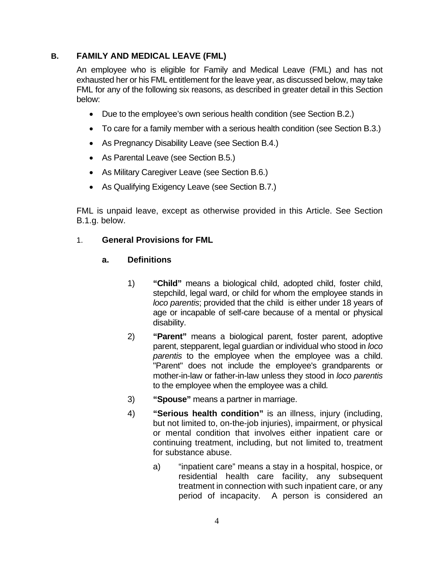# **B. FAMILY AND MEDICAL LEAVE (FML)**

An employee who is eligible for Family and Medical Leave (FML) and has not exhausted her or his FML entitlement for the leave year, as discussed below, may take FML for any of the following six reasons, as described in greater detail in this Section below:

- Due to the employee's own serious health condition (see Section B.2.)
- To care for a family member with a serious health condition (see Section B.3.)
- As Pregnancy Disability Leave (see Section B.4.)
- As Parental Leave (see Section B.5.)
- As Military Caregiver Leave (see Section B.6.)
- As Qualifying Exigency Leave (see Section B.7.)

FML is unpaid leave, except as otherwise provided in this Article. See Section B.1.g. below.

# 1. **General Provisions for FML**

### **a. Definitions**

- 1) **"Child"** means a biological child, adopted child, foster child, stepchild, legal ward, or child for whom the employee stands in *loco parentis*; provided that the child is either under 18 years of age or incapable of self-care because of a mental or physical disability.
- 2) **"Parent"** means a biological parent, foster parent, adoptive parent, stepparent, legal guardian or individual who stood in *loco parentis* to the employee when the employee was a child. "Parent" does not include the employee's grandparents or mother-in-law or father-in-law unless they stood in *loco parentis* to the employee when the employee was a child*.*
- 3) **"Spouse"** means a partner in marriage.
- 4) **"Serious health condition"** is an illness, injury (including, but not limited to, on-the-job injuries), impairment, or physical or mental condition that involves either inpatient care or continuing treatment, including, but not limited to, treatment for substance abuse.
	- a) "inpatient care" means a stay in a hospital, hospice, or residential health care facility, any subsequent treatment in connection with such inpatient care, or any period of incapacity. A person is considered an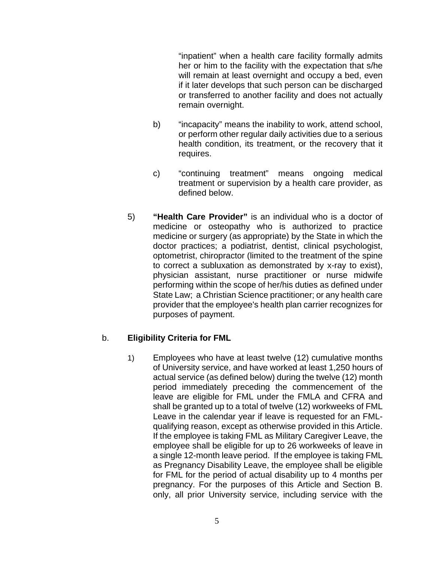"inpatient" when a health care facility formally admits her or him to the facility with the expectation that s/he will remain at least overnight and occupy a bed, even if it later develops that such person can be discharged or transferred to another facility and does not actually remain overnight.

- b) "incapacity" means the inability to work, attend school, or perform other regular daily activities due to a serious health condition, its treatment, or the recovery that it requires.
- c) "continuing treatment" means ongoing medical treatment or supervision by a health care provider, as defined below.
- 5) **"Health Care Provider"** is an individual who is a doctor of medicine or osteopathy who is authorized to practice medicine or surgery (as appropriate) by the State in which the doctor practices; a podiatrist, dentist, clinical psychologist, optometrist, chiropractor (limited to the treatment of the spine to correct a subluxation as demonstrated by x-ray to exist), physician assistant, nurse practitioner or nurse midwife performing within the scope of her/his duties as defined under State Law; a Christian Science practitioner; or any health care provider that the employee's health plan carrier recognizes for purposes of payment.

# b. **Eligibility Criteria for FML**

1) Employees who have at least twelve (12) cumulative months of University service, and have worked at least 1,250 hours of actual service (as defined below) during the twelve (12) month period immediately preceding the commencement of the leave are eligible for FML under the FMLA and CFRA and shall be granted up to a total of twelve (12) workweeks of FML Leave in the calendar year if leave is requested for an FMLqualifying reason, except as otherwise provided in this Article. If the employee is taking FML as Military Caregiver Leave, the employee shall be eligible for up to 26 workweeks of leave in a single 12-month leave period. If the employee is taking FML as Pregnancy Disability Leave, the employee shall be eligible for FML for the period of actual disability up to 4 months per pregnancy. For the purposes of this Article and Section B. only, all prior University service, including service with the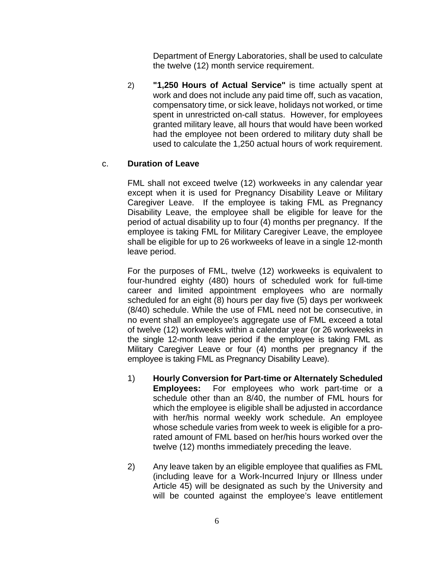Department of Energy Laboratories, shall be used to calculate the twelve (12) month service requirement.

2) **"1,250 Hours of Actual Service"** is time actually spent at work and does not include any paid time off, such as vacation, compensatory time, or sick leave, holidays not worked, or time spent in unrestricted on-call status. However, for employees granted military leave, all hours that would have been worked had the employee not been ordered to military duty shall be used to calculate the 1,250 actual hours of work requirement.

# c. **Duration of Leave**

FML shall not exceed twelve (12) workweeks in any calendar year except when it is used for Pregnancy Disability Leave or Military Caregiver Leave. If the employee is taking FML as Pregnancy Disability Leave, the employee shall be eligible for leave for the period of actual disability up to four (4) months per pregnancy. If the employee is taking FML for Military Caregiver Leave, the employee shall be eligible for up to 26 workweeks of leave in a single 12-month leave period.

For the purposes of FML, twelve (12) workweeks is equivalent to four-hundred eighty (480) hours of scheduled work for full-time career and limited appointment employees who are normally scheduled for an eight (8) hours per day five (5) days per workweek (8/40) schedule. While the use of FML need not be consecutive, in no event shall an employee's aggregate use of FML exceed a total of twelve (12) workweeks within a calendar year (or 26 workweeks in the single 12-month leave period if the employee is taking FML as Military Caregiver Leave or four (4) months per pregnancy if the employee is taking FML as Pregnancy Disability Leave).

- 1) **Hourly Conversion for Part-time or Alternately Scheduled Employees:** For employees who work part-time or a schedule other than an 8/40, the number of FML hours for which the employee is eligible shall be adjusted in accordance with her/his normal weekly work schedule. An employee whose schedule varies from week to week is eligible for a prorated amount of FML based on her/his hours worked over the twelve (12) months immediately preceding the leave.
- 2) Any leave taken by an eligible employee that qualifies as FML (including leave for a Work-Incurred Injury or Illness under Article 45) will be designated as such by the University and will be counted against the employee's leave entitlement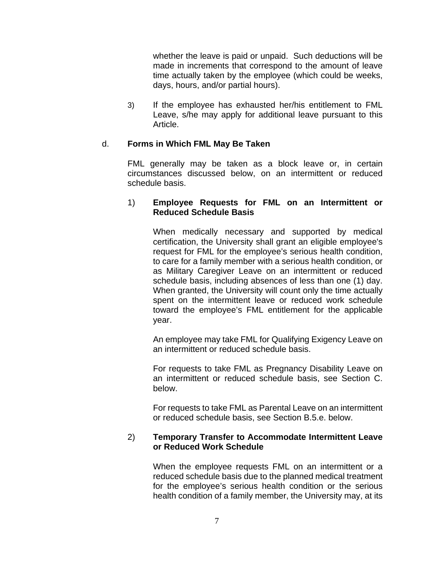whether the leave is paid or unpaid. Such deductions will be made in increments that correspond to the amount of leave time actually taken by the employee (which could be weeks, days, hours, and/or partial hours).

3) If the employee has exhausted her/his entitlement to FML Leave, s/he may apply for additional leave pursuant to this Article.

### d. **Forms in Which FML May Be Taken**

FML generally may be taken as a block leave or, in certain circumstances discussed below, on an intermittent or reduced schedule basis.

#### 1) **Employee Requests for FML on an Intermittent or Reduced Schedule Basis**

When medically necessary and supported by medical certification, the University shall grant an eligible employee's request for FML for the employee's serious health condition, to care for a family member with a serious health condition, or as Military Caregiver Leave on an intermittent or reduced schedule basis, including absences of less than one (1) day. When granted, the University will count only the time actually spent on the intermittent leave or reduced work schedule toward the employee's FML entitlement for the applicable year.

An employee may take FML for Qualifying Exigency Leave on an intermittent or reduced schedule basis.

For requests to take FML as Pregnancy Disability Leave on an intermittent or reduced schedule basis, see Section C. below.

For requests to take FML as Parental Leave on an intermittent or reduced schedule basis, see Section B.5.e. below.

### 2) **Temporary Transfer to Accommodate Intermittent Leave or Reduced Work Schedule**

When the employee requests FML on an intermittent or a reduced schedule basis due to the planned medical treatment for the employee's serious health condition or the serious health condition of a family member, the University may, at its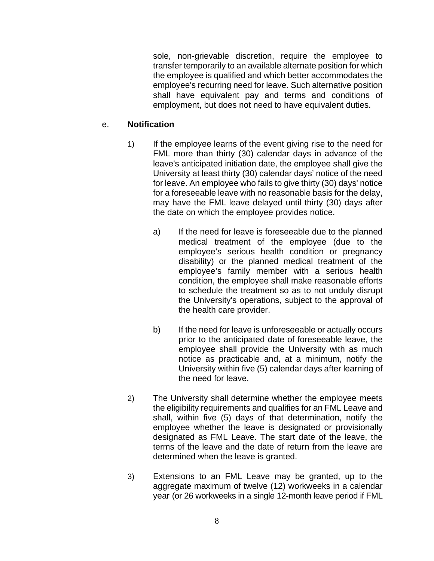sole, non-grievable discretion, require the employee to transfer temporarily to an available alternate position for which the employee is qualified and which better accommodates the employee's recurring need for leave. Such alternative position shall have equivalent pay and terms and conditions of employment, but does not need to have equivalent duties.

### e. **Notification**

- 1) If the employee learns of the event giving rise to the need for FML more than thirty (30) calendar days in advance of the leave's anticipated initiation date, the employee shall give the University at least thirty (30) calendar days' notice of the need for leave. An employee who fails to give thirty (30) days' notice for a foreseeable leave with no reasonable basis for the delay, may have the FML leave delayed until thirty (30) days after the date on which the employee provides notice.
	- a) If the need for leave is foreseeable due to the planned medical treatment of the employee (due to the employee's serious health condition or pregnancy disability) or the planned medical treatment of the employee's family member with a serious health condition, the employee shall make reasonable efforts to schedule the treatment so as to not unduly disrupt the University's operations, subject to the approval of the health care provider.
	- b) If the need for leave is unforeseeable or actually occurs prior to the anticipated date of foreseeable leave, the employee shall provide the University with as much notice as practicable and, at a minimum, notify the University within five (5) calendar days after learning of the need for leave.
- 2) The University shall determine whether the employee meets the eligibility requirements and qualifies for an FML Leave and shall, within five (5) days of that determination, notify the employee whether the leave is designated or provisionally designated as FML Leave. The start date of the leave, the terms of the leave and the date of return from the leave are determined when the leave is granted.
- 3) Extensions to an FML Leave may be granted, up to the aggregate maximum of twelve (12) workweeks in a calendar year (or 26 workweeks in a single 12-month leave period if FML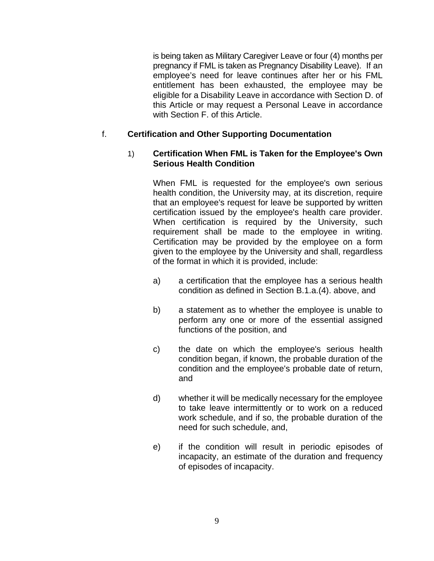is being taken as Military Caregiver Leave or four (4) months per pregnancy if FML is taken as Pregnancy Disability Leave). If an employee's need for leave continues after her or his FML entitlement has been exhausted, the employee may be eligible for a Disability Leave in accordance with Section D. of this Article or may request a Personal Leave in accordance with Section F. of this Article.

# f. **Certification and Other Supporting Documentation**

### 1) **Certification When FML is Taken for the Employee's Own Serious Health Condition**

When FML is requested for the employee's own serious health condition, the University may, at its discretion, require that an employee's request for leave be supported by written certification issued by the employee's health care provider. When certification is required by the University, such requirement shall be made to the employee in writing. Certification may be provided by the employee on a form given to the employee by the University and shall, regardless of the format in which it is provided, include:

- a) a certification that the employee has a serious health condition as defined in Section B.1.a.(4). above, and
- b) a statement as to whether the employee is unable to perform any one or more of the essential assigned functions of the position, and
- c) the date on which the employee's serious health condition began, if known, the probable duration of the condition and the employee's probable date of return, and
- d) whether it will be medically necessary for the employee to take leave intermittently or to work on a reduced work schedule, and if so, the probable duration of the need for such schedule, and,
- e) if the condition will result in periodic episodes of incapacity, an estimate of the duration and frequency of episodes of incapacity.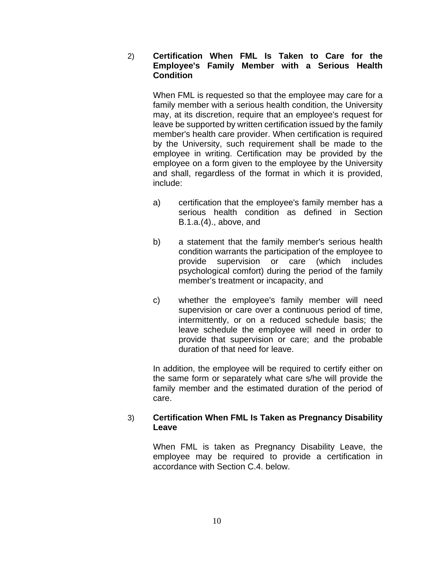2) **Certification When FML Is Taken to Care for the Employee's Family Member with a Serious Health Condition**

When FML is requested so that the employee may care for a family member with a serious health condition, the University may, at its discretion, require that an employee's request for leave be supported by written certification issued by the family member's health care provider. When certification is required by the University, such requirement shall be made to the employee in writing. Certification may be provided by the employee on a form given to the employee by the University and shall, regardless of the format in which it is provided, include:

- a) certification that the employee's family member has a serious health condition as defined in Section B.1.a.(4)., above, and
- b) a statement that the family member's serious health condition warrants the participation of the employee to provide supervision or care (which includes psychological comfort) during the period of the family member's treatment or incapacity, and
- c) whether the employee's family member will need supervision or care over a continuous period of time, intermittently, or on a reduced schedule basis; the leave schedule the employee will need in order to provide that supervision or care; and the probable duration of that need for leave.

In addition, the employee will be required to certify either on the same form or separately what care s/he will provide the family member and the estimated duration of the period of care.

# 3) **Certification When FML Is Taken as Pregnancy Disability Leave**

When FML is taken as Pregnancy Disability Leave, the employee may be required to provide a certification in accordance with Section C.4. below.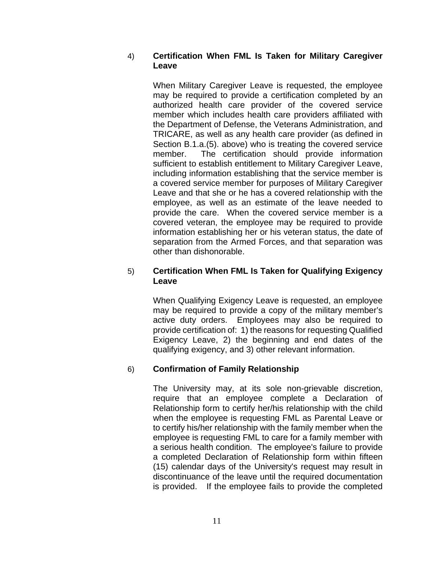### 4) **Certification When FML Is Taken for Military Caregiver Leave**

When Military Caregiver Leave is requested, the employee may be required to provide a certification completed by an authorized health care provider of the covered service member which includes health care providers affiliated with the Department of Defense, the Veterans Administration, and TRICARE, as well as any health care provider (as defined in Section B.1.a.(5). above) who is treating the covered service member. The certification should provide information sufficient to establish entitlement to Military Caregiver Leave, including information establishing that the service member is a covered service member for purposes of Military Caregiver Leave and that she or he has a covered relationship with the employee, as well as an estimate of the leave needed to provide the care. When the covered service member is a covered veteran, the employee may be required to provide information establishing her or his veteran status, the date of separation from the Armed Forces, and that separation was other than dishonorable.

### 5) **Certification When FML Is Taken for Qualifying Exigency Leave**

When Qualifying Exigency Leave is requested, an employee may be required to provide a copy of the military member's active duty orders. Employees may also be required to provide certification of: 1) the reasons for requesting Qualified Exigency Leave, 2) the beginning and end dates of the qualifying exigency, and 3) other relevant information.

# 6) **Confirmation of Family Relationship**

The University may, at its sole non-grievable discretion, require that an employee complete a Declaration of Relationship form to certify her/his relationship with the child when the employee is requesting FML as Parental Leave or to certify his/her relationship with the family member when the employee is requesting FML to care for a family member with a serious health condition. The employee's failure to provide a completed Declaration of Relationship form within fifteen (15) calendar days of the University's request may result in discontinuance of the leave until the required documentation is provided. If the employee fails to provide the completed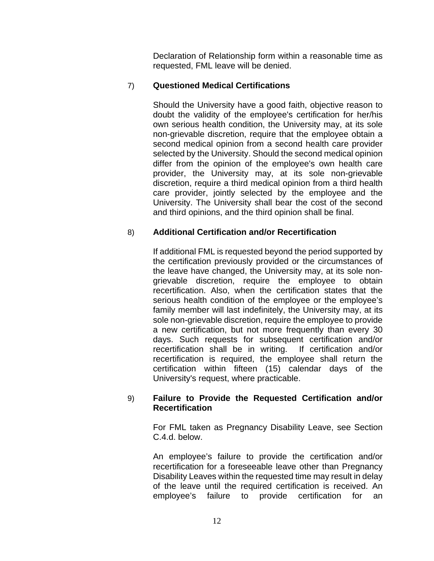Declaration of Relationship form within a reasonable time as requested, FML leave will be denied.

### 7) **Questioned Medical Certifications**

Should the University have a good faith, objective reason to doubt the validity of the employee's certification for her/his own serious health condition, the University may, at its sole non-grievable discretion, require that the employee obtain a second medical opinion from a second health care provider selected by the University. Should the second medical opinion differ from the opinion of the employee's own health care provider, the University may, at its sole non-grievable discretion, require a third medical opinion from a third health care provider, jointly selected by the employee and the University. The University shall bear the cost of the second and third opinions, and the third opinion shall be final.

# 8) **Additional Certification and/or Recertification**

If additional FML is requested beyond the period supported by the certification previously provided or the circumstances of the leave have changed, the University may, at its sole nongrievable discretion, require the employee to obtain recertification. Also, when the certification states that the serious health condition of the employee or the employee's family member will last indefinitely, the University may, at its sole non-grievable discretion, require the employee to provide a new certification, but not more frequently than every 30 days. Such requests for subsequent certification and/or recertification shall be in writing. If certification and/or recertification is required, the employee shall return the certification within fifteen (15) calendar days of the University's request, where practicable.

#### 9) **Failure to Provide the Requested Certification and/or Recertification**

For FML taken as Pregnancy Disability Leave, see Section C.4.d. below.

An employee's failure to provide the certification and/or recertification for a foreseeable leave other than Pregnancy Disability Leaves within the requested time may result in delay of the leave until the required certification is received. An employee's failure to provide certification for an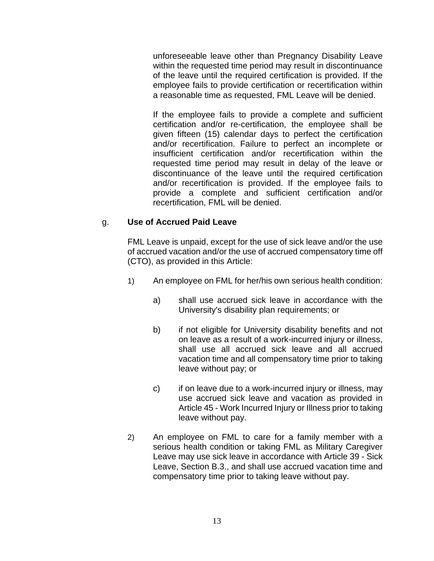unforeseeable leave other than Pregnancy Disability Leave within the requested time period may result in discontinuance of the leave until the required certification is provided. If the employee fails to provide certification or recertification within a reasonable time as requested, FML Leave will be denied.

If the employee fails to provide a complete and sufficient certification and/or re-certification, the employee shall be given fifteen (15) calendar days to perfect the certification and/or recertification. Failure to perfect an incomplete or insufficient certification and/or recertification within the requested time period may result in delay of the leave or discontinuance of the leave until the required certification and/or recertification is provided. If the employee fails to provide a complete and sufficient certification and/or recertification, FML will be denied.

# g. **Use of Accrued Paid Leave**

FML Leave is unpaid, except for the use of sick leave and/or the use of accrued vacation and/or the use of accrued compensatory time off (CTO), as provided in this Article:

- 1) An employee on FML for her/his own serious health condition:
	- a) shall use accrued sick leave in accordance with the University's disability plan requirements; or
	- b) if not eligible for University disability benefits and not on leave as a result of a work-incurred injury or illness, shall use all accrued sick leave and all accrued vacation time and all compensatory time prior to taking leave without pay; or
	- c) if on leave due to a work-incurred injury or illness, may use accrued sick leave and vacation as provided in Article 45 - Work Incurred Injury or Illness prior to taking leave without pay.
- 2) An employee on FML to care for a family member with a serious health condition or taking FML as Military Caregiver Leave may use sick leave in accordance with Article 39 - Sick Leave, Section B.3., and shall use accrued vacation time and compensatory time prior to taking leave without pay.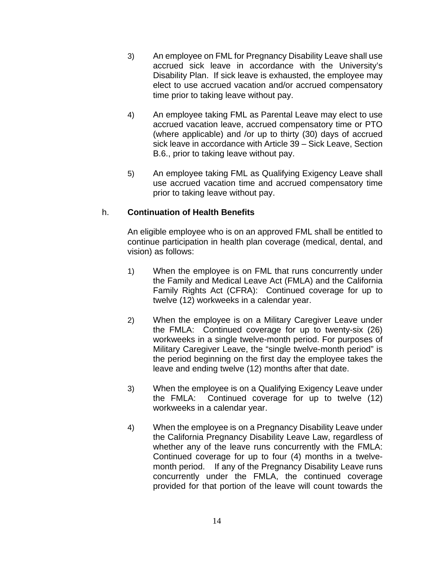- 3) An employee on FML for Pregnancy Disability Leave shall use accrued sick leave in accordance with the University's Disability Plan. If sick leave is exhausted, the employee may elect to use accrued vacation and/or accrued compensatory time prior to taking leave without pay.
- 4) An employee taking FML as Parental Leave may elect to use accrued vacation leave, accrued compensatory time or PTO (where applicable) and /or up to thirty (30) days of accrued sick leave in accordance with Article 39 – Sick Leave, Section B.6., prior to taking leave without pay.
- 5) An employee taking FML as Qualifying Exigency Leave shall use accrued vacation time and accrued compensatory time prior to taking leave without pay.

### h. **Continuation of Health Benefits**

An eligible employee who is on an approved FML shall be entitled to continue participation in health plan coverage (medical, dental, and vision) as follows:

- 1) When the employee is on FML that runs concurrently under the Family and Medical Leave Act (FMLA) and the California Family Rights Act (CFRA): Continued coverage for up to twelve (12) workweeks in a calendar year.
- 2) When the employee is on a Military Caregiver Leave under the FMLA: Continued coverage for up to twenty-six (26) workweeks in a single twelve-month period. For purposes of Military Caregiver Leave, the "single twelve-month period" is the period beginning on the first day the employee takes the leave and ending twelve (12) months after that date.
- 3) When the employee is on a Qualifying Exigency Leave under the FMLA: Continued coverage for up to twelve (12) workweeks in a calendar year.
- 4) When the employee is on a Pregnancy Disability Leave under the California Pregnancy Disability Leave Law, regardless of whether any of the leave runs concurrently with the FMLA: Continued coverage for up to four (4) months in a twelvemonth period. If any of the Pregnancy Disability Leave runs concurrently under the FMLA, the continued coverage provided for that portion of the leave will count towards the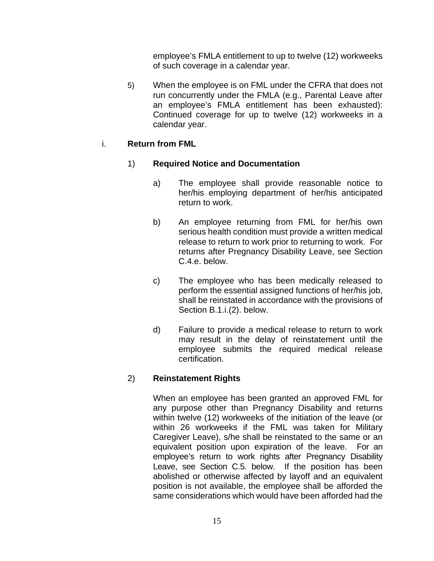employee's FMLA entitlement to up to twelve (12) workweeks of such coverage in a calendar year.

5) When the employee is on FML under the CFRA that does not run concurrently under the FMLA (e.g., Parental Leave after an employee's FMLA entitlement has been exhausted): Continued coverage for up to twelve (12) workweeks in a calendar year.

# i. **Return from FML**

# 1) **Required Notice and Documentation**

- a) The employee shall provide reasonable notice to her/his employing department of her/his anticipated return to work.
- b) An employee returning from FML for her/his own serious health condition must provide a written medical release to return to work prior to returning to work. For returns after Pregnancy Disability Leave, see Section C.4.e. below.
- c) The employee who has been medically released to perform the essential assigned functions of her/his job, shall be reinstated in accordance with the provisions of Section B.1.i.(2). below.
- d) Failure to provide a medical release to return to work may result in the delay of reinstatement until the employee submits the required medical release certification.

# 2) **Reinstatement Rights**

When an employee has been granted an approved FML for any purpose other than Pregnancy Disability and returns within twelve (12) workweeks of the initiation of the leave (or within 26 workweeks if the FML was taken for Military Caregiver Leave), s/he shall be reinstated to the same or an equivalent position upon expiration of the leave. For an employee's return to work rights after Pregnancy Disability Leave, see Section C.5. below. If the position has been abolished or otherwise affected by layoff and an equivalent position is not available, the employee shall be afforded the same considerations which would have been afforded had the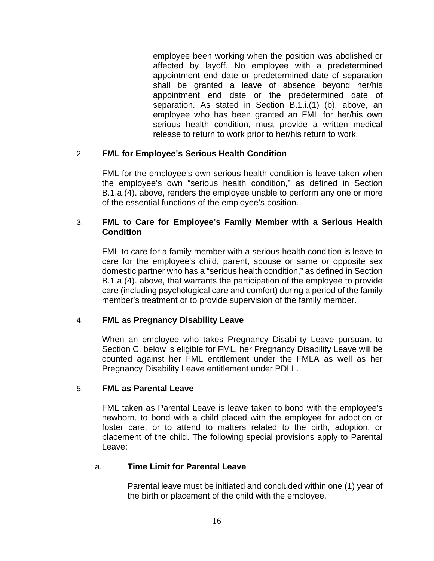employee been working when the position was abolished or affected by layoff. No employee with a predetermined appointment end date or predetermined date of separation shall be granted a leave of absence beyond her/his appointment end date or the predetermined date of separation. As stated in Section B.1.i.(1) (b), above, an employee who has been granted an FML for her/his own serious health condition, must provide a written medical release to return to work prior to her/his return to work.

# 2. **FML for Employee's Serious Health Condition**

FML for the employee's own serious health condition is leave taken when the employee's own "serious health condition," as defined in Section B.1.a.(4). above, renders the employee unable to perform any one or more of the essential functions of the employee's position.

### 3. **FML to Care for Employee's Family Member with a Serious Health Condition**

FML to care for a family member with a serious health condition is leave to care for the employee's child, parent, spouse or same or opposite sex domestic partner who has a "serious health condition," as defined in Section B.1.a.(4). above, that warrants the participation of the employee to provide care (including psychological care and comfort) during a period of the family member's treatment or to provide supervision of the family member.

# 4. **FML as Pregnancy Disability Leave**

When an employee who takes Pregnancy Disability Leave pursuant to Section C. below is eligible for FML, her Pregnancy Disability Leave will be counted against her FML entitlement under the FMLA as well as her Pregnancy Disability Leave entitlement under PDLL.

### 5. **FML as Parental Leave**

FML taken as Parental Leave is leave taken to bond with the employee's newborn, to bond with a child placed with the employee for adoption or foster care, or to attend to matters related to the birth, adoption, or placement of the child. The following special provisions apply to Parental Leave:

### a. **Time Limit for Parental Leave**

Parental leave must be initiated and concluded within one (1) year of the birth or placement of the child with the employee.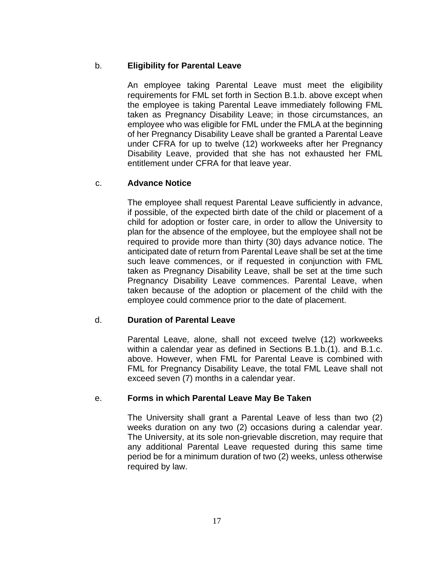# b. **Eligibility for Parental Leave**

An employee taking Parental Leave must meet the eligibility requirements for FML set forth in Section B.1.b. above except when the employee is taking Parental Leave immediately following FML taken as Pregnancy Disability Leave; in those circumstances, an employee who was eligible for FML under the FMLA at the beginning of her Pregnancy Disability Leave shall be granted a Parental Leave under CFRA for up to twelve (12) workweeks after her Pregnancy Disability Leave, provided that she has not exhausted her FML entitlement under CFRA for that leave year.

# c. **Advance Notice**

The employee shall request Parental Leave sufficiently in advance, if possible, of the expected birth date of the child or placement of a child for adoption or foster care, in order to allow the University to plan for the absence of the employee, but the employee shall not be required to provide more than thirty (30) days advance notice. The anticipated date of return from Parental Leave shall be set at the time such leave commences, or if requested in conjunction with FML taken as Pregnancy Disability Leave, shall be set at the time such Pregnancy Disability Leave commences. Parental Leave, when taken because of the adoption or placement of the child with the employee could commence prior to the date of placement.

# d. **Duration of Parental Leave**

Parental Leave, alone, shall not exceed twelve (12) workweeks within a calendar year as defined in Sections B.1.b.(1). and B.1.c. above. However, when FML for Parental Leave is combined with FML for Pregnancy Disability Leave, the total FML Leave shall not exceed seven (7) months in a calendar year.

### e. **Forms in which Parental Leave May Be Taken**

The University shall grant a Parental Leave of less than two (2) weeks duration on any two (2) occasions during a calendar year. The University, at its sole non-grievable discretion, may require that any additional Parental Leave requested during this same time period be for a minimum duration of two (2) weeks, unless otherwise required by law.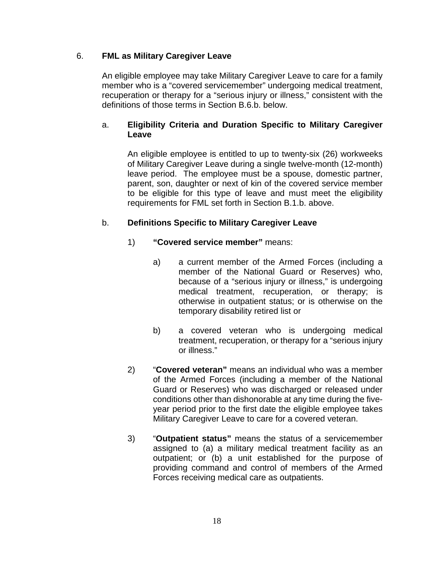# 6. **FML as Military Caregiver Leave**

An eligible employee may take Military Caregiver Leave to care for a family member who is a "covered servicemember" undergoing medical treatment, recuperation or therapy for a "serious injury or illness," consistent with the definitions of those terms in Section B.6.b. below.

# a. **Eligibility Criteria and Duration Specific to Military Caregiver Leave**

An eligible employee is entitled to up to twenty-six (26) workweeks of Military Caregiver Leave during a single twelve-month (12-month) leave period. The employee must be a spouse, domestic partner, parent, son, daughter or next of kin of the covered service member to be eligible for this type of leave and must meet the eligibility requirements for FML set forth in Section B.1.b. above.

# b. **Definitions Specific to Military Caregiver Leave**

- 1) **"Covered service member"** means:
	- a) a current member of the Armed Forces (including a member of the National Guard or Reserves) who, because of a "serious injury or illness," is undergoing medical treatment, recuperation, or therapy; is otherwise in outpatient status; or is otherwise on the temporary disability retired list or
	- b) a covered veteran who is undergoing medical treatment, recuperation, or therapy for a "serious injury or illness."
- 2) "**Covered veteran"** means an individual who was a member of the Armed Forces (including a member of the National Guard or Reserves) who was discharged or released under conditions other than dishonorable at any time during the fiveyear period prior to the first date the eligible employee takes Military Caregiver Leave to care for a covered veteran.
- 3) "**Outpatient status"** means the status of a servicemember assigned to (a) a military medical treatment facility as an outpatient; or (b) a unit established for the purpose of providing command and control of members of the Armed Forces receiving medical care as outpatients.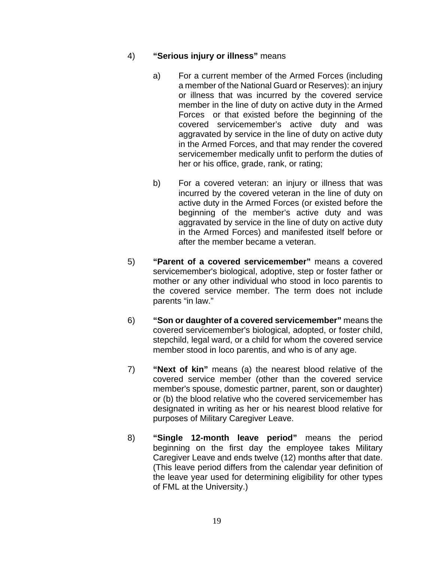### 4) **"Serious injury or illness"** means

- a) For a current member of the Armed Forces (including a member of the National Guard or Reserves): an injury or illness that was incurred by the covered service member in the line of duty on active duty in the Armed Forces or that existed before the beginning of the covered servicemember's active duty and was aggravated by service in the line of duty on active duty in the Armed Forces, and that may render the covered servicemember medically unfit to perform the duties of her or his office, grade, rank, or rating;
- b) For a covered veteran: an injury or illness that was incurred by the covered veteran in the line of duty on active duty in the Armed Forces (or existed before the beginning of the member's active duty and was aggravated by service in the line of duty on active duty in the Armed Forces) and manifested itself before or after the member became a veteran.
- 5) **"Parent of a covered servicemember"** means a covered servicemember's biological, adoptive, step or foster father or mother or any other individual who stood in loco parentis to the covered service member. The term does not include parents "in law."
- 6) **"Son or daughter of a covered servicemember"** means the covered servicemember's biological, adopted, or foster child, stepchild, legal ward, or a child for whom the covered service member stood in loco parentis, and who is of any age.
- 7) **"Next of kin"** means (a) the nearest blood relative of the covered service member (other than the covered service member's spouse, domestic partner, parent, son or daughter) or (b) the blood relative who the covered servicemember has designated in writing as her or his nearest blood relative for purposes of Military Caregiver Leave.
- 8) **"Single 12-month leave period"** means the period beginning on the first day the employee takes Military Caregiver Leave and ends twelve (12) months after that date. (This leave period differs from the calendar year definition of the leave year used for determining eligibility for other types of FML at the University.)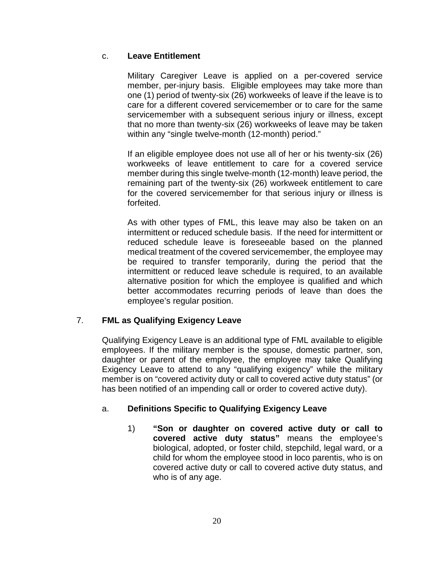# c. **Leave Entitlement**

Military Caregiver Leave is applied on a per-covered service member, per-injury basis. Eligible employees may take more than one (1) period of twenty-six (26) workweeks of leave if the leave is to care for a different covered servicemember or to care for the same servicemember with a subsequent serious injury or illness, except that no more than twenty-six (26) workweeks of leave may be taken within any "single twelve-month (12-month) period."

If an eligible employee does not use all of her or his twenty-six (26) workweeks of leave entitlement to care for a covered service member during this single twelve-month (12-month) leave period, the remaining part of the twenty-six (26) workweek entitlement to care for the covered servicemember for that serious injury or illness is forfeited.

As with other types of FML, this leave may also be taken on an intermittent or reduced schedule basis. If the need for intermittent or reduced schedule leave is foreseeable based on the planned medical treatment of the covered servicemember, the employee may be required to transfer temporarily, during the period that the intermittent or reduced leave schedule is required, to an available alternative position for which the employee is qualified and which better accommodates recurring periods of leave than does the employee's regular position.

# 7. **FML as Qualifying Exigency Leave**

Qualifying Exigency Leave is an additional type of FML available to eligible employees. If the military member is the spouse, domestic partner, son, daughter or parent of the employee, the employee may take Qualifying Exigency Leave to attend to any "qualifying exigency" while the military member is on "covered activity duty or call to covered active duty status" (or has been notified of an impending call or order to covered active duty).

# a. **Definitions Specific to Qualifying Exigency Leave**

1) **"Son or daughter on covered active duty or call to covered active duty status"** means the employee's biological, adopted, or foster child, stepchild, legal ward, or a child for whom the employee stood in loco parentis, who is on covered active duty or call to covered active duty status, and who is of any age.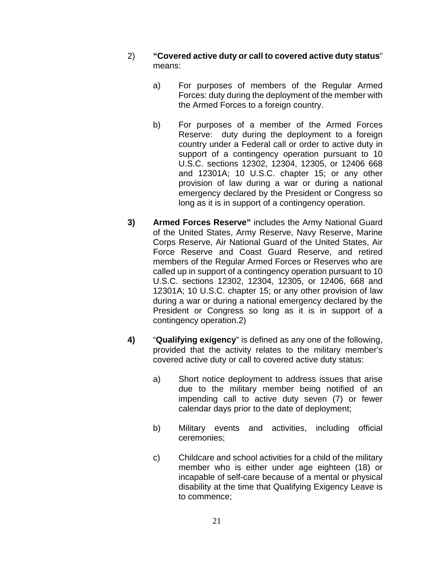- 2) **"Covered active duty or call to covered active duty status**" means:
	- a) For purposes of members of the Regular Armed Forces: duty during the deployment of the member with the Armed Forces to a foreign country.
	- b) For purposes of a member of the Armed Forces Reserve: duty during the deployment to a foreign country under a Federal call or order to active duty in support of a contingency operation pursuant to 10 U.S.C. sections 12302, 12304, 12305, or 12406 668 and 12301A; 10 U.S.C. chapter 15; or any other provision of law during a war or during a national emergency declared by the President or Congress so long as it is in support of a contingency operation.
- **3) Armed Forces Reserve"** includes the Army National Guard of the United States, Army Reserve, Navy Reserve, Marine Corps Reserve, Air National Guard of the United States, Air Force Reserve and Coast Guard Reserve, and retired members of the Regular Armed Forces or Reserves who are called up in support of a contingency operation pursuant to 10 U.S.C. sections 12302, 12304, 12305, or 12406, 668 and 12301A; 10 U.S.C. chapter 15; or any other provision of law during a war or during a national emergency declared by the President or Congress so long as it is in support of a contingency operation.2)
- **4)** "**Qualifying exigency**" is defined as any one of the following, provided that the activity relates to the military member's covered active duty or call to covered active duty status:
	- a) Short notice deployment to address issues that arise due to the military member being notified of an impending call to active duty seven (7) or fewer calendar days prior to the date of deployment;
	- b) Military events and activities, including official ceremonies;
	- c) Childcare and school activities for a child of the military member who is either under age eighteen (18) or incapable of self-care because of a mental or physical disability at the time that Qualifying Exigency Leave is to commence;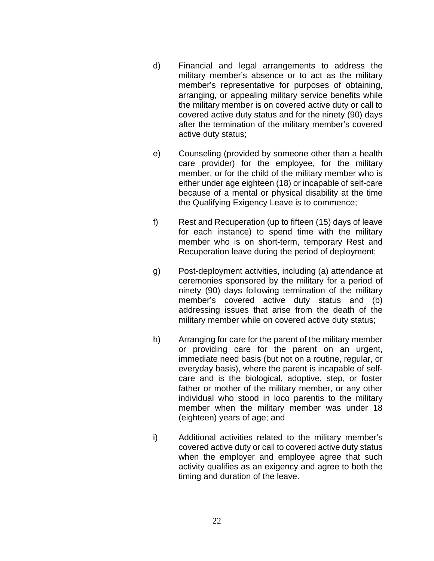- d) Financial and legal arrangements to address the military member's absence or to act as the military member's representative for purposes of obtaining, arranging, or appealing military service benefits while the military member is on covered active duty or call to covered active duty status and for the ninety (90) days after the termination of the military member's covered active duty status;
- e) Counseling (provided by someone other than a health care provider) for the employee, for the military member, or for the child of the military member who is either under age eighteen (18) or incapable of self-care because of a mental or physical disability at the time the Qualifying Exigency Leave is to commence;
- f) Rest and Recuperation (up to fifteen (15) days of leave for each instance) to spend time with the military member who is on short-term, temporary Rest and Recuperation leave during the period of deployment;
- g) Post-deployment activities, including (a) attendance at ceremonies sponsored by the military for a period of ninety (90) days following termination of the military member's covered active duty status and (b) addressing issues that arise from the death of the military member while on covered active duty status;
- h) Arranging for care for the parent of the military member or providing care for the parent on an urgent, immediate need basis (but not on a routine, regular, or everyday basis), where the parent is incapable of selfcare and is the biological, adoptive, step, or foster father or mother of the military member, or any other individual who stood in loco parentis to the military member when the military member was under 18 (eighteen) years of age; and
- i) Additional activities related to the military member's covered active duty or call to covered active duty status when the employer and employee agree that such activity qualifies as an exigency and agree to both the timing and duration of the leave.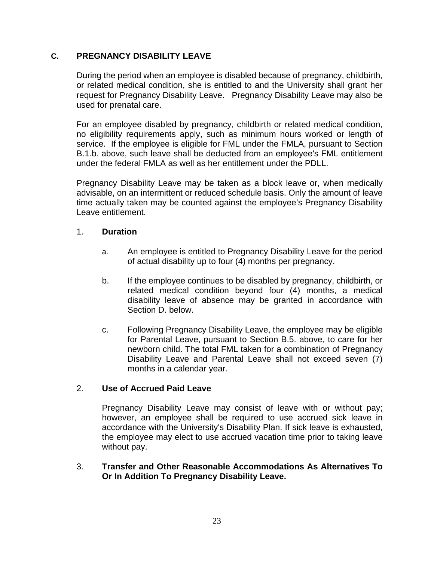# **C. PREGNANCY DISABILITY LEAVE**

During the period when an employee is disabled because of pregnancy, childbirth, or related medical condition, she is entitled to and the University shall grant her request for Pregnancy Disability Leave. Pregnancy Disability Leave may also be used for prenatal care.

For an employee disabled by pregnancy, childbirth or related medical condition, no eligibility requirements apply, such as minimum hours worked or length of service. If the employee is eligible for FML under the FMLA, pursuant to Section B.1.b. above, such leave shall be deducted from an employee's FML entitlement under the federal FMLA as well as her entitlement under the PDLL.

Pregnancy Disability Leave may be taken as a block leave or, when medically advisable, on an intermittent or reduced schedule basis. Only the amount of leave time actually taken may be counted against the employee's Pregnancy Disability Leave entitlement.

### 1. **Duration**

- a. An employee is entitled to Pregnancy Disability Leave for the period of actual disability up to four (4) months per pregnancy.
- b. If the employee continues to be disabled by pregnancy, childbirth, or related medical condition beyond four (4) months, a medical disability leave of absence may be granted in accordance with Section D. below.
- c. Following Pregnancy Disability Leave, the employee may be eligible for Parental Leave, pursuant to Section B.5. above, to care for her newborn child. The total FML taken for a combination of Pregnancy Disability Leave and Parental Leave shall not exceed seven (7) months in a calendar year.

### 2. **Use of Accrued Paid Leave**

Pregnancy Disability Leave may consist of leave with or without pay; however, an employee shall be required to use accrued sick leave in accordance with the University's Disability Plan. If sick leave is exhausted, the employee may elect to use accrued vacation time prior to taking leave without pay.

3. **Transfer and Other Reasonable Accommodations As Alternatives To Or In Addition To Pregnancy Disability Leave.**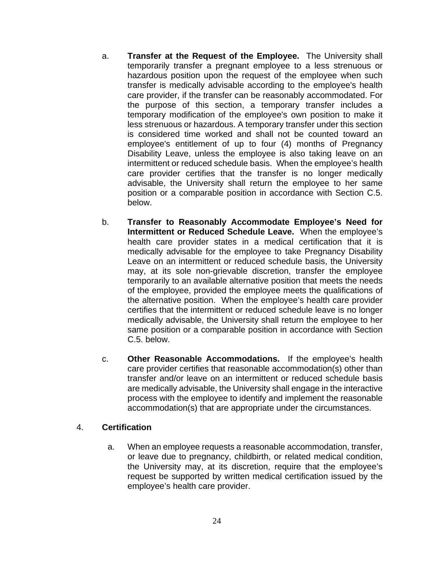- a. **Transfer at the Request of the Employee.** The University shall temporarily transfer a pregnant employee to a less strenuous or hazardous position upon the request of the employee when such transfer is medically advisable according to the employee's health care provider, if the transfer can be reasonably accommodated. For the purpose of this section, a temporary transfer includes a temporary modification of the employee's own position to make it less strenuous or hazardous. A temporary transfer under this section is considered time worked and shall not be counted toward an employee's entitlement of up to four (4) months of Pregnancy Disability Leave, unless the employee is also taking leave on an intermittent or reduced schedule basis. When the employee's health care provider certifies that the transfer is no longer medically advisable, the University shall return the employee to her same position or a comparable position in accordance with Section C.5. below.
- b. **Transfer to Reasonably Accommodate Employee's Need for Intermittent or Reduced Schedule Leave.** When the employee's health care provider states in a medical certification that it is medically advisable for the employee to take Pregnancy Disability Leave on an intermittent or reduced schedule basis, the University may, at its sole non-grievable discretion, transfer the employee temporarily to an available alternative position that meets the needs of the employee, provided the employee meets the qualifications of the alternative position. When the employee's health care provider certifies that the intermittent or reduced schedule leave is no longer medically advisable, the University shall return the employee to her same position or a comparable position in accordance with Section C.5. below.
- c. **Other Reasonable Accommodations.** If the employee's health care provider certifies that reasonable accommodation(s) other than transfer and/or leave on an intermittent or reduced schedule basis are medically advisable, the University shall engage in the interactive process with the employee to identify and implement the reasonable accommodation(s) that are appropriate under the circumstances.

#### 4. **Certification**

a. When an employee requests a reasonable accommodation, transfer, or leave due to pregnancy, childbirth, or related medical condition, the University may, at its discretion, require that the employee's request be supported by written medical certification issued by the employee's health care provider.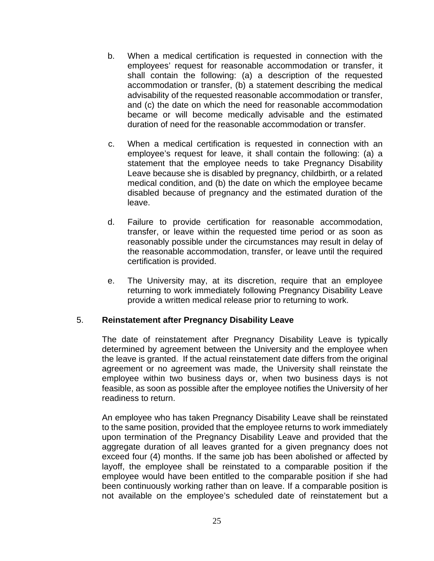- b. When a medical certification is requested in connection with the employees' request for reasonable accommodation or transfer, it shall contain the following: (a) a description of the requested accommodation or transfer, (b) a statement describing the medical advisability of the requested reasonable accommodation or transfer, and (c) the date on which the need for reasonable accommodation became or will become medically advisable and the estimated duration of need for the reasonable accommodation or transfer.
- c. When a medical certification is requested in connection with an employee's request for leave, it shall contain the following: (a) a statement that the employee needs to take Pregnancy Disability Leave because she is disabled by pregnancy, childbirth, or a related medical condition, and (b) the date on which the employee became disabled because of pregnancy and the estimated duration of the leave.
- d. Failure to provide certification for reasonable accommodation, transfer, or leave within the requested time period or as soon as reasonably possible under the circumstances may result in delay of the reasonable accommodation, transfer, or leave until the required certification is provided.
- e. The University may, at its discretion, require that an employee returning to work immediately following Pregnancy Disability Leave provide a written medical release prior to returning to work.

### 5. **Reinstatement after Pregnancy Disability Leave**

The date of reinstatement after Pregnancy Disability Leave is typically determined by agreement between the University and the employee when the leave is granted. If the actual reinstatement date differs from the original agreement or no agreement was made, the University shall reinstate the employee within two business days or, when two business days is not feasible, as soon as possible after the employee notifies the University of her readiness to return.

An employee who has taken Pregnancy Disability Leave shall be reinstated to the same position, provided that the employee returns to work immediately upon termination of the Pregnancy Disability Leave and provided that the aggregate duration of all leaves granted for a given pregnancy does not exceed four (4) months. If the same job has been abolished or affected by layoff, the employee shall be reinstated to a comparable position if the employee would have been entitled to the comparable position if she had been continuously working rather than on leave. If a comparable position is not available on the employee's scheduled date of reinstatement but a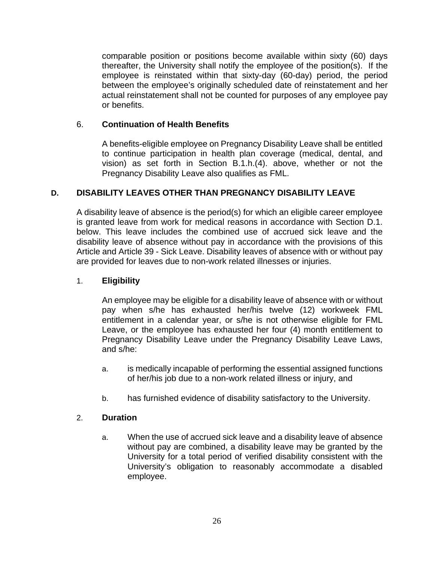comparable position or positions become available within sixty (60) days thereafter, the University shall notify the employee of the position(s). If the employee is reinstated within that sixty-day (60-day) period, the period between the employee's originally scheduled date of reinstatement and her actual reinstatement shall not be counted for purposes of any employee pay or benefits.

# 6. **Continuation of Health Benefits**

A benefits-eligible employee on Pregnancy Disability Leave shall be entitled to continue participation in health plan coverage (medical, dental, and vision) as set forth in Section B.1.h.(4). above, whether or not the Pregnancy Disability Leave also qualifies as FML.

# **D. DISABILITY LEAVES OTHER THAN PREGNANCY DISABILITY LEAVE**

A disability leave of absence is the period(s) for which an eligible career employee is granted leave from work for medical reasons in accordance with Section D.1. below. This leave includes the combined use of accrued sick leave and the disability leave of absence without pay in accordance with the provisions of this Article and Article 39 - Sick Leave. Disability leaves of absence with or without pay are provided for leaves due to non-work related illnesses or injuries.

### 1. **Eligibility**

An employee may be eligible for a disability leave of absence with or without pay when s/he has exhausted her/his twelve (12) workweek FML entitlement in a calendar year, or s/he is not otherwise eligible for FML Leave, or the employee has exhausted her four (4) month entitlement to Pregnancy Disability Leave under the Pregnancy Disability Leave Laws, and s/he:

- a. is medically incapable of performing the essential assigned functions of her/his job due to a non-work related illness or injury, and
- b. has furnished evidence of disability satisfactory to the University.

### 2. **Duration**

a. When the use of accrued sick leave and a disability leave of absence without pay are combined, a disability leave may be granted by the University for a total period of verified disability consistent with the University's obligation to reasonably accommodate a disabled employee.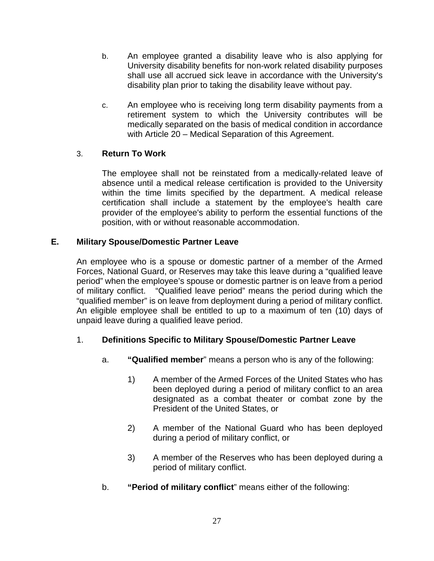- b. An employee granted a disability leave who is also applying for University disability benefits for non-work related disability purposes shall use all accrued sick leave in accordance with the University's disability plan prior to taking the disability leave without pay.
- c. An employee who is receiving long term disability payments from a retirement system to which the University contributes will be medically separated on the basis of medical condition in accordance with Article 20 – Medical Separation of this Agreement.

# 3. **Return To Work**

The employee shall not be reinstated from a medically-related leave of absence until a medical release certification is provided to the University within the time limits specified by the department. A medical release certification shall include a statement by the employee's health care provider of the employee's ability to perform the essential functions of the position, with or without reasonable accommodation.

# **E. Military Spouse/Domestic Partner Leave**

An employee who is a spouse or domestic partner of a member of the Armed Forces, National Guard, or Reserves may take this leave during a "qualified leave period" when the employee's spouse or domestic partner is on leave from a period of military conflict. "Qualified leave period" means the period during which the "qualified member" is on leave from deployment during a period of military conflict. An eligible employee shall be entitled to up to a maximum of ten (10) days of unpaid leave during a qualified leave period.

# 1. **Definitions Specific to Military Spouse/Domestic Partner Leave**

- a. **"Qualified member**" means a person who is any of the following:
	- 1) A member of the Armed Forces of the United States who has been deployed during a period of military conflict to an area designated as a combat theater or combat zone by the President of the United States, or
	- 2) A member of the National Guard who has been deployed during a period of military conflict, or
	- 3) A member of the Reserves who has been deployed during a period of military conflict.
- b. **"Period of military conflict**" means either of the following: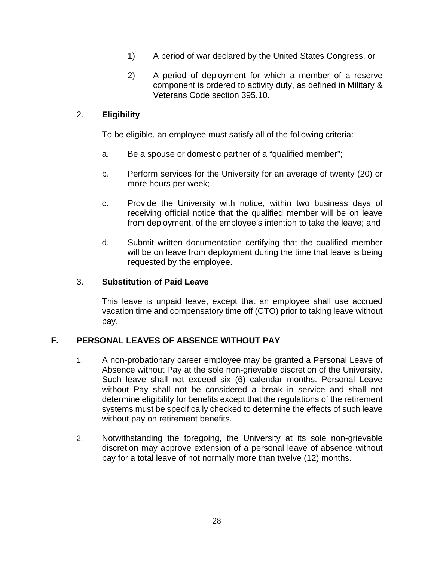- 1) A period of war declared by the United States Congress, or
- 2) A period of deployment for which a member of a reserve component is ordered to activity duty, as defined in Military & Veterans Code section 395.10.

# 2. **Eligibility**

To be eligible, an employee must satisfy all of the following criteria:

- a. Be a spouse or domestic partner of a "qualified member";
- b. Perform services for the University for an average of twenty (20) or more hours per week;
- c. Provide the University with notice, within two business days of receiving official notice that the qualified member will be on leave from deployment, of the employee's intention to take the leave; and
- d. Submit written documentation certifying that the qualified member will be on leave from deployment during the time that leave is being requested by the employee.

#### 3. **Substitution of Paid Leave**

This leave is unpaid leave, except that an employee shall use accrued vacation time and compensatory time off (CTO) prior to taking leave without pay.

### **F. PERSONAL LEAVES OF ABSENCE WITHOUT PAY**

- 1. A non-probationary career employee may be granted a Personal Leave of Absence without Pay at the sole non-grievable discretion of the University. Such leave shall not exceed six (6) calendar months. Personal Leave without Pay shall not be considered a break in service and shall not determine eligibility for benefits except that the regulations of the retirement systems must be specifically checked to determine the effects of such leave without pay on retirement benefits.
- 2. Notwithstanding the foregoing, the University at its sole non-grievable discretion may approve extension of a personal leave of absence without pay for a total leave of not normally more than twelve (12) months.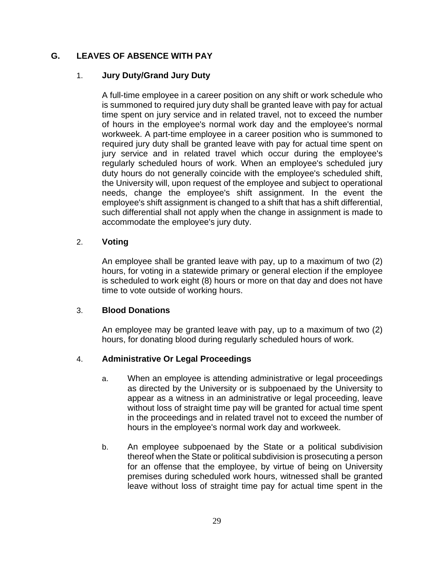# **G. LEAVES OF ABSENCE WITH PAY**

# 1. **Jury Duty/Grand Jury Duty**

A full-time employee in a career position on any shift or work schedule who is summoned to required jury duty shall be granted leave with pay for actual time spent on jury service and in related travel, not to exceed the number of hours in the employee's normal work day and the employee's normal workweek. A part-time employee in a career position who is summoned to required jury duty shall be granted leave with pay for actual time spent on jury service and in related travel which occur during the employee's regularly scheduled hours of work. When an employee's scheduled jury duty hours do not generally coincide with the employee's scheduled shift, the University will, upon request of the employee and subject to operational needs, change the employee's shift assignment. In the event the employee's shift assignment is changed to a shift that has a shift differential, such differential shall not apply when the change in assignment is made to accommodate the employee's jury duty.

### 2. **Voting**

An employee shall be granted leave with pay, up to a maximum of two (2) hours, for voting in a statewide primary or general election if the employee is scheduled to work eight (8) hours or more on that day and does not have time to vote outside of working hours.

### 3. **Blood Donations**

An employee may be granted leave with pay, up to a maximum of two (2) hours, for donating blood during regularly scheduled hours of work.

# 4. **Administrative Or Legal Proceedings**

- a. When an employee is attending administrative or legal proceedings as directed by the University or is subpoenaed by the University to appear as a witness in an administrative or legal proceeding, leave without loss of straight time pay will be granted for actual time spent in the proceedings and in related travel not to exceed the number of hours in the employee's normal work day and workweek.
- b. An employee subpoenaed by the State or a political subdivision thereof when the State or political subdivision is prosecuting a person for an offense that the employee, by virtue of being on University premises during scheduled work hours, witnessed shall be granted leave without loss of straight time pay for actual time spent in the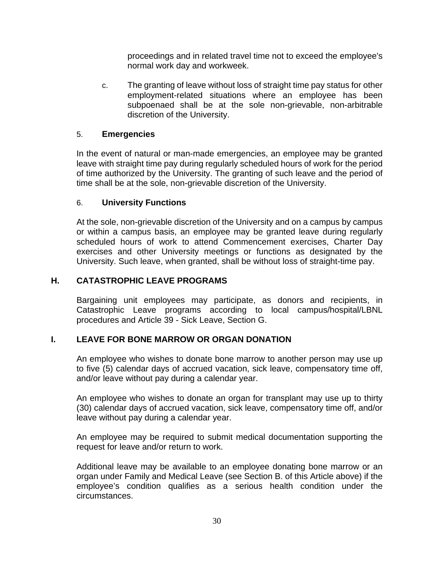proceedings and in related travel time not to exceed the employee's normal work day and workweek.

c. The granting of leave without loss of straight time pay status for other employment-related situations where an employee has been subpoenaed shall be at the sole non-grievable, non-arbitrable discretion of the University.

# 5. **Emergencies**

In the event of natural or man-made emergencies, an employee may be granted leave with straight time pay during regularly scheduled hours of work for the period of time authorized by the University. The granting of such leave and the period of time shall be at the sole, non-grievable discretion of the University.

# 6. **University Functions**

At the sole, non-grievable discretion of the University and on a campus by campus or within a campus basis, an employee may be granted leave during regularly scheduled hours of work to attend Commencement exercises, Charter Day exercises and other University meetings or functions as designated by the University. Such leave, when granted, shall be without loss of straight-time pay.

# **H. CATASTROPHIC LEAVE PROGRAMS**

Bargaining unit employees may participate, as donors and recipients, in Catastrophic Leave programs according to local campus/hospital/LBNL procedures and Article 39 - Sick Leave, Section G.

# **I. LEAVE FOR BONE MARROW OR ORGAN DONATION**

An employee who wishes to donate bone marrow to another person may use up to five (5) calendar days of accrued vacation, sick leave, compensatory time off, and/or leave without pay during a calendar year.

An employee who wishes to donate an organ for transplant may use up to thirty (30) calendar days of accrued vacation, sick leave, compensatory time off, and/or leave without pay during a calendar year.

An employee may be required to submit medical documentation supporting the request for leave and/or return to work.

Additional leave may be available to an employee donating bone marrow or an organ under Family and Medical Leave (see Section B. of this Article above) if the employee's condition qualifies as a serious health condition under the circumstances.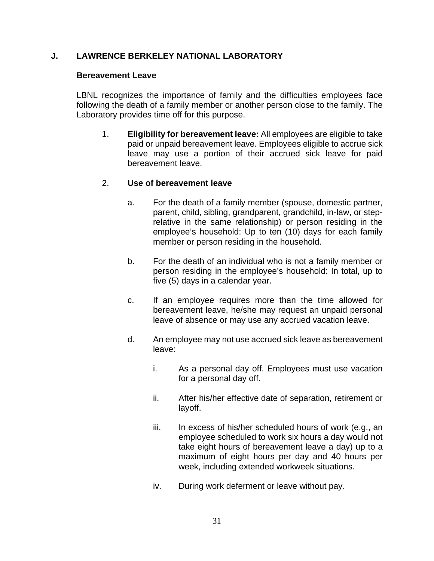# **J. LAWRENCE BERKELEY NATIONAL LABORATORY**

#### **Bereavement Leave**

LBNL recognizes the importance of family and the difficulties employees face following the death of a family member or another person close to the family. The Laboratory provides time off for this purpose.

1. **Eligibility for bereavement leave:** All employees are eligible to take paid or unpaid bereavement leave. Employees eligible to accrue sick leave may use a portion of their accrued sick leave for paid bereavement leave.

# 2. **Use of bereavement leave**

- a. For the death of a family member (spouse, domestic partner, parent, child, sibling, grandparent, grandchild, in-law, or steprelative in the same relationship) or person residing in the employee's household: Up to ten (10) days for each family member or person residing in the household.
- b. For the death of an individual who is not a family member or person residing in the employee's household: In total, up to five (5) days in a calendar year.
- c. If an employee requires more than the time allowed for bereavement leave, he/she may request an unpaid personal leave of absence or may use any accrued vacation leave.
- d. An employee may not use accrued sick leave as bereavement leave:
	- i. As a personal day off. Employees must use vacation for a personal day off.
	- ii. After his/her effective date of separation, retirement or layoff.
	- iii. In excess of his/her scheduled hours of work (e.g., an employee scheduled to work six hours a day would not take eight hours of bereavement leave a day) up to a maximum of eight hours per day and 40 hours per week, including extended workweek situations.
	- iv. During work deferment or leave without pay.